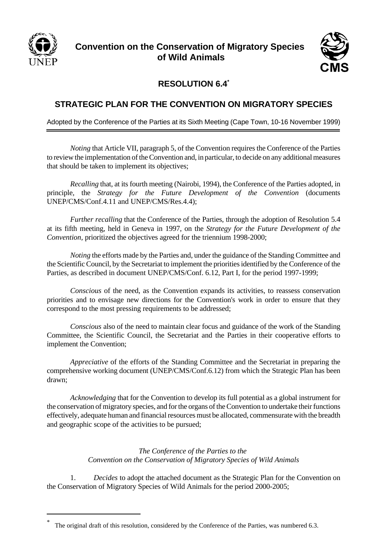



# **RESOLUTION 6.4\***

# **STRATEGIC PLAN FOR THE CONVENTION ON MIGRATORY SPECIES**

Adopted by the Conference of the Parties at its Sixth Meeting (Cape Town, 10-16 November 1999)

*Noting* that Article VII, paragraph 5, of the Convention requires the Conference of the Parties to review the implementation of the Convention and, in particular, to decide on any additional measures that should be taken to implement its objectives;

*Recalling* that, at its fourth meeting (Nairobi, 1994), the Conference of the Parties adopted, in principle, the *Strategy for the Future Development of the Convention* (documents UNEP/CMS/Conf.4.11 and UNEP/CMS/Res.4.4);

*Further recalling* that the Conference of the Parties, through the adoption of Resolution 5.4 at its fifth meeting, held in Geneva in 1997, on the *Strategy for the Future Development of the Convention,* prioritized the objectives agreed for the triennium 1998-2000;

*Noting* the efforts made by the Parties and, under the guidance of the Standing Committee and the Scientific Council, by the Secretariat to implement the priorities identified by the Conference of the Parties, as described in document UNEP/CMS/Conf. 6.12, Part I, for the period 1997-1999;

*Conscious* of the need, as the Convention expands its activities, to reassess conservation priorities and to envisage new directions for the Convention's work in order to ensure that they correspond to the most pressing requirements to be addressed;

*Conscious* also of the need to maintain clear focus and guidance of the work of the Standing Committee, the Scientific Council, the Secretariat and the Parties in their cooperative efforts to implement the Convention;

*Appreciative* of the efforts of the Standing Committee and the Secretariat in preparing the comprehensive working document (UNEP/CMS/Conf.6.12) from which the Strategic Plan has been drawn;

*Acknowledging* that for the Convention to develop its full potential as a global instrument for the conservation of migratory species, and for the organs of the Convention to undertake their functions effectively, adequate human and financial resources must be allocated, commensurate with the breadth and geographic scope of the activities to be pursued;

## *The Conference of the Parties to the Convention on the Conservation of Migratory Species of Wild Animals*

1. *Decides* to adopt the attached document as the Strategic Plan for the Convention on the Conservation of Migratory Species of Wild Animals for the period 2000-2005;

<sup>\*</sup> The original draft of this resolution, considered by the Conference of the Parties, was numbered 6.3.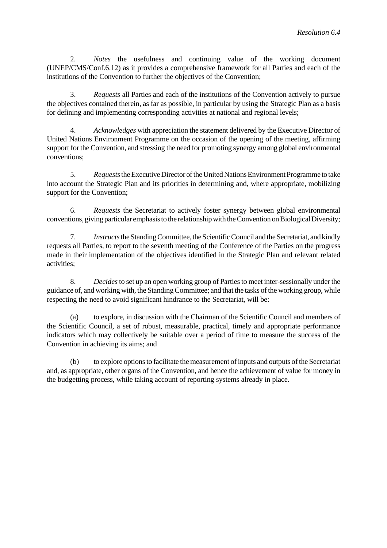2. *Notes* the usefulness and continuing value of the working document (UNEP/CMS/Conf.6.12) as it provides a comprehensive framework for all Parties and each of the institutions of the Convention to further the objectives of the Convention;

3. *Requests* all Parties and each of the institutions of the Convention actively to pursue the objectives contained therein, as far as possible, in particular by using the Strategic Plan as a basis for defining and implementing corresponding activities at national and regional levels;

4. *Acknowledges* with appreciation the statement delivered by the Executive Director of United Nations Environment Programme on the occasion of the opening of the meeting, affirming support for the Convention, and stressing the need for promoting synergy among global environmental conventions;

5. *Requests* the Executive Director of the United Nations Environment Programme to take into account the Strategic Plan and its priorities in determining and, where appropriate, mobilizing support for the Convention;

6. *Requests* the Secretariat to actively foster synergy between global environmental conventions, giving particular emphasis to the relationship with the Convention on Biological Diversity;

7. *Instructs* the Standing Committee, the Scientific Council and the Secretariat, and kindly requests all Parties, to report to the seventh meeting of the Conference of the Parties on the progress made in their implementation of the objectives identified in the Strategic Plan and relevant related activities;

8. *Decides* to set up an open working group of Parties to meet inter-sessionally under the guidance of, and working with, the Standing Committee; and that the tasks of the working group, while respecting the need to avoid significant hindrance to the Secretariat, will be:

(a) to explore, in discussion with the Chairman of the Scientific Council and members of the Scientific Council, a set of robust, measurable, practical, timely and appropriate performance indicators which may collectively be suitable over a period of time to measure the success of the Convention in achieving its aims; and

(b) to explore options to facilitate the measurement of inputs and outputs of the Secretariat and, as appropriate, other organs of the Convention, and hence the achievement of value for money in the budgetting process, while taking account of reporting systems already in place.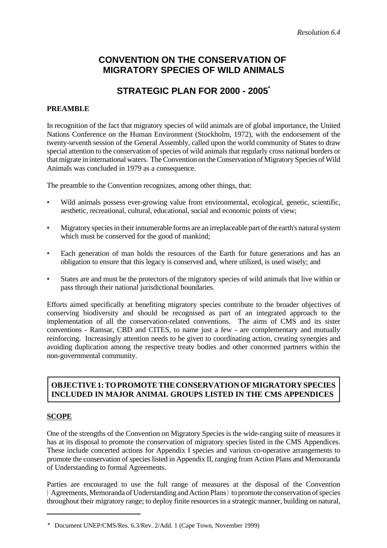# **CONVENTION ON THE CONSERVATION OF MIGRATORY SPECIES OF WILD ANIMALS**

# **STRATEGIC PLAN FOR 2000 - 2005\***

## **PREAMBLE**

In recognition of the fact that migratory species of wild animals are of global importance, the United Nations Conference on the Human Environment (Stockholm, 1972), with the endorsement of the twenty-seventh session of the General Assembly, called upon the world community of States to draw special attention to the conservation of species of wild animals that regularly cross national borders or that migrate in international waters. The Convention on the Conservation of Migratory Species of Wild Animals was concluded in 1979 as a consequence.

The preamble to the Convention recognizes, among other things, that:

- •· Wild animals possess ever-growing value from environmental, ecological, genetic, scientific, aesthetic, recreational, cultural, educational, social and economic points of view;
- Migratory species in their innumerable forms are an irreplaceable part of the earth's natural system which must be conserved for the good of mankind;
- Each generation of man holds the resources of the Earth for future generations and has an obligation to ensure that this legacy is conserved and, where utilized, is used wisely; and
- States are and must be the protectors of the migratory species of wild animals that live within or pass through their national jurisdictional boundaries.

Efforts aimed specifically at benefiting migratory species contribute to the broader objectives of conserving biodiversity and should be recognised as part of an integrated approach to the implementation of all the conservation-related conventions. The aims of CMS and its sister conventions - Ramsar, CBD and CITES, to name just a few - are complementary and mutually reinforcing. Increasingly attention needs to be given to coordinating action, creating synergies and avoiding duplication among the respective treaty bodies and other concerned partners within the non-governmental community.

## **OBJECTIVE 1: TO PROMOTE THE CONSERVATION OF MIGRATORY SPECIES INCLUDED IN MAJOR ANIMAL GROUPS LISTED IN THE CMS APPENDICES**

#### **SCOPE**

One of the strengths of the Convention on Migratory Species is the wide-ranging suite of measures it has at its disposal to promote the conservation of migratory species listed in the CMS Appendices. These include concerted actions for Appendix I species and various co-operative arrangements to promote the conservation of species listed in Appendix II, ranging from Action Plans and Memoranda of Understanding to formal Agreements.

Parties are encouraged to use the full range of measures at the disposal of the Convention ) Agreements, Memoranda of Understanding and Action Plans ) to promote the conservation of species throughout their migratory range; to deploy finite resources in a strategic manner, building on natural,

<sup>\*</sup> Document UNEP/CMS/Res. 6.3/Rev. 2/Add. 1 (Cape Town, November 1999)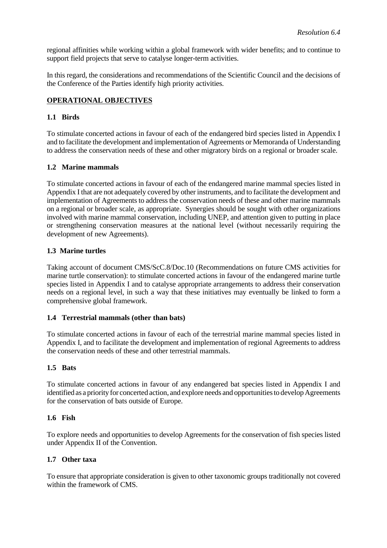regional affinities while working within a global framework with wider benefits; and to continue to support field projects that serve to catalyse longer-term activities.

In this regard, the considerations and recommendations of the Scientific Council and the decisions of the Conference of the Parties identify high priority activities.

#### **OPERATIONAL OBJECTIVES**

#### **1.1 Birds**

To stimulate concerted actions in favour of each of the endangered bird species listed in Appendix I and to facilitate the development and implementation of Agreements or Memoranda of Understanding to address the conservation needs of these and other migratory birds on a regional or broader scale.

#### **1.2 Marine mammals**

To stimulate concerted actions in favour of each of the endangered marine mammal species listed in Appendix I that are not adequately covered by other instruments, and to facilitate the development and implementation of Agreements to address the conservation needs of these and other marine mammals on a regional or broader scale, as appropriate. Synergies should be sought with other organizations involved with marine mammal conservation, including UNEP, and attention given to putting in place or strengthening conservation measures at the national level (without necessarily requiring the development of new Agreements).

#### **1.3 Marine turtles**

Taking account of document CMS/ScC.8/Doc.10 (Recommendations on future CMS activities for marine turtle conservation): to stimulate concerted actions in favour of the endangered marine turtle species listed in Appendix I and to catalyse appropriate arrangements to address their conservation needs on a regional level, in such a way that these initiatives may eventually be linked to form a comprehensive global framework.

#### **1.4 Terrestrial mammals (other than bats)**

To stimulate concerted actions in favour of each of the terrestrial marine mammal species listed in Appendix I, and to facilitate the development and implementation of regional Agreements to address the conservation needs of these and other terrestrial mammals.

#### **1.5 Bats**

To stimulate concerted actions in favour of any endangered bat species listed in Appendix I and identified as a priority for concerted action, and explore needs and opportunities to develop Agreements for the conservation of bats outside of Europe.

#### **1.6 Fish**

To explore needs and opportunities to develop Agreements for the conservation of fish species listed under Appendix II of the Convention.

#### **1.7 Other taxa**

To ensure that appropriate consideration is given to other taxonomic groups traditionally not covered within the framework of CMS.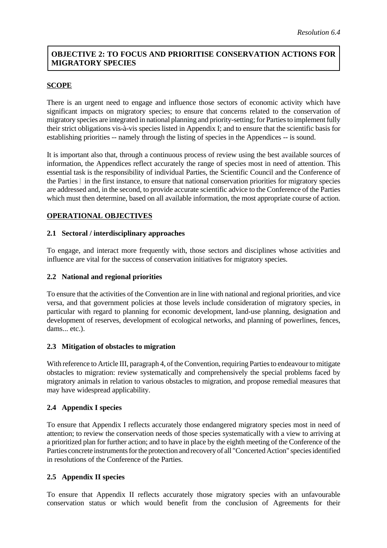## **OBJECTIVE 2: TO FOCUS AND PRIORITISE CONSERVATION ACTIONS FOR MIGRATORY SPECIES**

### **SCOPE**

There is an urgent need to engage and influence those sectors of economic activity which have significant impacts on migratory species; to ensure that concerns related to the conservation of migratory species are integrated in national planning and priority-setting; for Parties to implement fully their strict obligations vis-à-vis species listed in Appendix I; and to ensure that the scientific basis for establishing priorities -- namely through the listing of species in the Appendices -- is sound.

It is important also that, through a continuous process of review using the best available sources of information, the Appendices reflect accurately the range of species most in need of attention. This essential task is the responsibility of individual Parties, the Scientific Council and the Conference of the Parties ) in the first instance, to ensure that national conservation priorities for migratory species are addressed and, in the second, to provide accurate scientific advice to the Conference of the Parties which must then determine, based on all available information, the most appropriate course of action.

### **OPERATIONAL OBJECTIVES**

#### **2.1 Sectoral / interdisciplinary approaches**

To engage, and interact more frequently with, those sectors and disciplines whose activities and influence are vital for the success of conservation initiatives for migratory species.

#### **2.2 National and regional priorities**

To ensure that the activities of the Convention are in line with national and regional priorities, and vice versa, and that government policies at those levels include consideration of migratory species, in particular with regard to planning for economic development, land-use planning, designation and development of reserves, development of ecological networks, and planning of powerlines, fences, dams... etc.).

#### **2.3 Mitigation of obstacles to migration**

With reference to Article III, paragraph 4, of the Convention, requiring Parties to endeavour to mitigate obstacles to migration: review systematically and comprehensively the special problems faced by migratory animals in relation to various obstacles to migration, and propose remedial measures that may have widespread applicability.

## **2.4 Appendix I species**

To ensure that Appendix I reflects accurately those endangered migratory species most in need of attention; to review the conservation needs of those species systematically with a view to arriving at a prioritized plan for further action; and to have in place by the eighth meeting of the Conference of the Parties concrete instruments for the protection and recovery of all "Concerted Action" species identified in resolutions of the Conference of the Parties.

## **2.5 Appendix II species**

To ensure that Appendix II reflects accurately those migratory species with an unfavourable conservation status or which would benefit from the conclusion of Agreements for their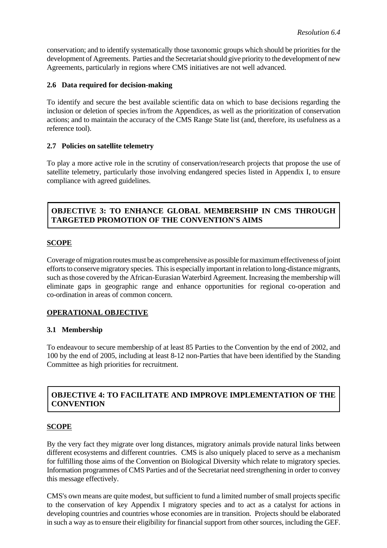conservation; and to identify systematically those taxonomic groups which should be priorities for the development of Agreements. Parties and the Secretariat should give priority to the development of new Agreements, particularly in regions where CMS initiatives are not well advanced.

#### **2.6 Data required for decision-making**

To identify and secure the best available scientific data on which to base decisions regarding the inclusion or deletion of species in/from the Appendices, as well as the prioritization of conservation actions; and to maintain the accuracy of the CMS Range State list (and, therefore, its usefulness as a reference tool).

### **2.7 Policies on satellite telemetry**

To play a more active role in the scrutiny of conservation/research projects that propose the use of satellite telemetry, particularly those involving endangered species listed in Appendix I, to ensure compliance with agreed guidelines.

## **OBJECTIVE 3: TO ENHANCE GLOBAL MEMBERSHIP IN CMS THROUGH TARGETED PROMOTION OF THE CONVENTION'S AIMS**

#### **SCOPE**

Coverage of migration routes must be as comprehensive as possible for maximum effectiveness of joint efforts to conserve migratory species. This is especially important in relation to long-distance migrants, such as those covered by the African-Eurasian Waterbird Agreement. Increasing the membership will eliminate gaps in geographic range and enhance opportunities for regional co-operation and co-ordination in areas of common concern.

## **OPERATIONAL OBJECTIVE**

#### **3.1 Membership**

To endeavour to secure membership of at least 85 Parties to the Convention by the end of 2002, and 100 by the end of 2005, including at least 8-12 non-Parties that have been identified by the Standing Committee as high priorities for recruitment.

# **OBJECTIVE 4: TO FACILITATE AND IMPROVE IMPLEMENTATION OF THE CONVENTION**

#### **SCOPE**

By the very fact they migrate over long distances, migratory animals provide natural links between different ecosystems and different countries. CMS is also uniquely placed to serve as a mechanism for fulfilling those aims of the Convention on Biological Diversity which relate to migratory species. Information programmes of CMS Parties and of the Secretariat need strengthening in order to convey this message effectively.

CMS's own means are quite modest, but sufficient to fund a limited number of small projects specific to the conservation of key Appendix I migratory species and to act as a catalyst for actions in developing countries and countries whose economies are in transition. Projects should be elaborated in such a way as to ensure their eligibility for financial support from other sources, including the GEF.